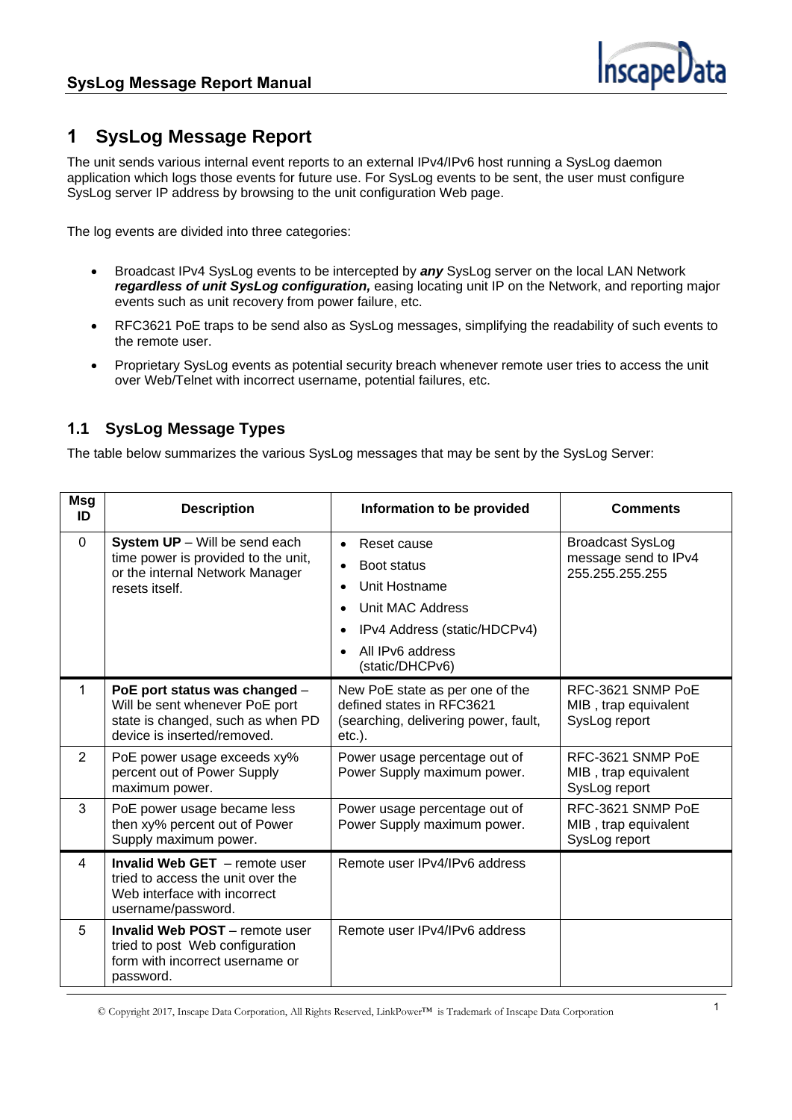

## **1 SysLog Message Report**

The unit sends various internal event reports to an external IPv4/IPv6 host running a SysLog daemon application which logs those events for future use. For SysLog events to be sent, the user must configure SysLog server IP address by browsing to the unit configuration Web page.

The log events are divided into three categories:

- Broadcast IPv4 SysLog events to be intercepted by *any* SysLog server on the local LAN Network *regardless of unit SysLog configuration,* easing locating unit IP on the Network, and reporting major events such as unit recovery from power failure, etc.
- RFC3621 PoE traps to be send also as SysLog messages, simplifying the readability of such events to the remote user.
- Proprietary SysLog events as potential security breach whenever remote user tries to access the unit over Web/Telnet with incorrect username, potential failures, etc.

## **1.1 SysLog Message Types**

The table below summarizes the various SysLog messages that may be sent by the SysLog Server:

| Msg<br>ID      | <b>Description</b>                                                                                                                  | Information to be provided                                                                                                                                                    | <b>Comments</b>                                                    |
|----------------|-------------------------------------------------------------------------------------------------------------------------------------|-------------------------------------------------------------------------------------------------------------------------------------------------------------------------------|--------------------------------------------------------------------|
| $\Omega$       | <b>System UP</b> – Will be send each<br>time power is provided to the unit,<br>or the internal Network Manager<br>resets itself.    | Reset cause<br>$\bullet$<br>Boot status<br>$\bullet$<br>Unit Hostname<br>Unit MAC Address<br>IPv4 Address (static/HDCPv4)<br>$\bullet$<br>All IPv6 address<br>(static/DHCPv6) | <b>Broadcast SysLog</b><br>message send to IPv4<br>255.255.255.255 |
| 1              | PoE port status was changed -<br>Will be sent whenever PoE port<br>state is changed, such as when PD<br>device is inserted/removed. | New PoE state as per one of the<br>defined states in RFC3621<br>(searching, delivering power, fault,<br>$etc.$ ).                                                             | RFC-3621 SNMP PoE<br>MIB, trap equivalent<br>SysLog report         |
| $\overline{2}$ | PoE power usage exceeds xy%<br>percent out of Power Supply<br>maximum power.                                                        | Power usage percentage out of<br>Power Supply maximum power.                                                                                                                  | RFC-3621 SNMP PoE<br>MIB, trap equivalent<br>SysLog report         |
| 3              | PoE power usage became less<br>then xy% percent out of Power<br>Supply maximum power.                                               | Power usage percentage out of<br>Power Supply maximum power.                                                                                                                  | RFC-3621 SNMP PoE<br>MIB, trap equivalent<br>SysLog report         |
| 4              | <b>Invalid Web GET</b> - remote user<br>tried to access the unit over the<br>Web interface with incorrect<br>username/password.     | Remote user IPv4/IPv6 address                                                                                                                                                 |                                                                    |
| 5              | <b>Invalid Web POST</b> - remote user<br>tried to post Web configuration<br>form with incorrect username or<br>password.            | Remote user IPv4/IPv6 address                                                                                                                                                 |                                                                    |